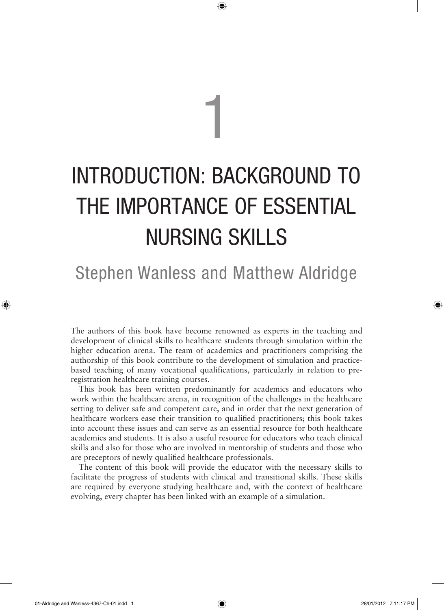## INTRODUCTION: BACKGROUND TO THE IMPORTANCE OF ESSENTIAL NURSING SKILLS

1

⊕

## Stephen Wanless and Matthew Aldridge

The authors of this book have become renowned as experts in the teaching and development of clinical skills to healthcare students through simulation within the higher education arena. The team of academics and practitioners comprising the authorship of this book contribute to the development of simulation and practicebased teaching of many vocational qualifications, particularly in relation to preregistration healthcare training courses.

This book has been written predominantly for academics and educators who work within the healthcare arena, in recognition of the challenges in the healthcare setting to deliver safe and competent care, and in order that the next generation of healthcare workers ease their transition to qualified practitioners; this book takes into account these issues and can serve as an essential resource for both healthcare academics and students. It is also a useful resource for educators who teach clinical skills and also for those who are involved in mentorship of students and those who are preceptors of newly qualified healthcare professionals.

The content of this book will provide the educator with the necessary skills to facilitate the progress of students with clinical and transitional skills. These skills are required by everyone studying healthcare and, with the context of healthcare evolving, every chapter has been linked with an example of a simulation.

01-Aldridge and Wanless-4367-Ch-01.indd 1 28/01/2012 7:11:17 PM

◈

♠